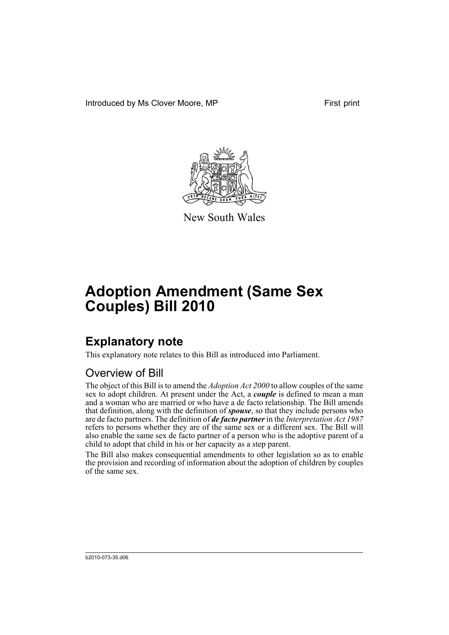Introduced by Ms Clover Moore, MP First print



New South Wales

# **Adoption Amendment (Same Sex Couples) Bill 2010**

## **Explanatory note**

This explanatory note relates to this Bill as introduced into Parliament.

#### Overview of Bill

The object of this Bill is to amend the *Adoption Act 2000* to allow couples of the same sex to adopt children. At present under the Act, a *couple* is defined to mean a man and a woman who are married or who have a de facto relationship. The Bill amends that definition, along with the definition of *spouse*, so that they include persons who are de facto partners. The definition of *de facto partner* in the *Interpretation Act 1987* refers to persons whether they are of the same sex or a different sex. The Bill will also enable the same sex de facto partner of a person who is the adoptive parent of a child to adopt that child in his or her capacity as a step parent.

The Bill also makes consequential amendments to other legislation so as to enable the provision and recording of information about the adoption of children by couples of the same sex.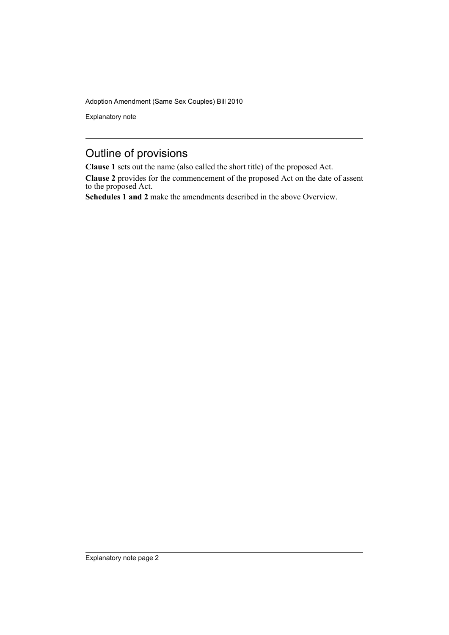Explanatory note

### Outline of provisions

**Clause 1** sets out the name (also called the short title) of the proposed Act.

**Clause 2** provides for the commencement of the proposed Act on the date of assent to the proposed Act.

**Schedules 1 and 2** make the amendments described in the above Overview.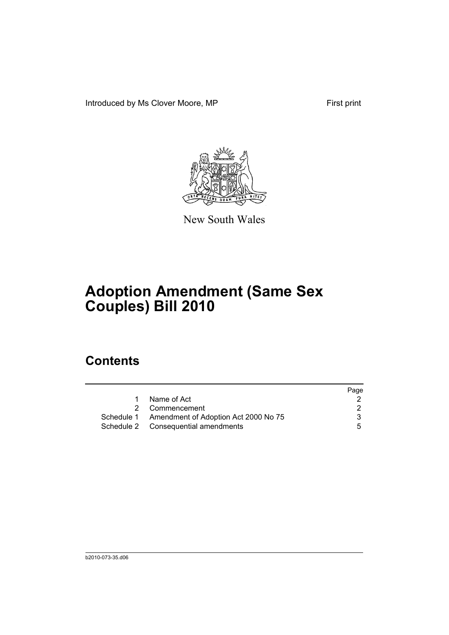Introduced by Ms Clover Moore, MP First print



New South Wales

# **Adoption Amendment (Same Sex Couples) Bill 2010**

### **Contents**

|   |                                                 | Page |
|---|-------------------------------------------------|------|
| 1 | Name of Act                                     |      |
|   | 2 Commencement                                  |      |
|   | Schedule 1 Amendment of Adoption Act 2000 No 75 |      |
|   | Schedule 2 Consequential amendments             | 5    |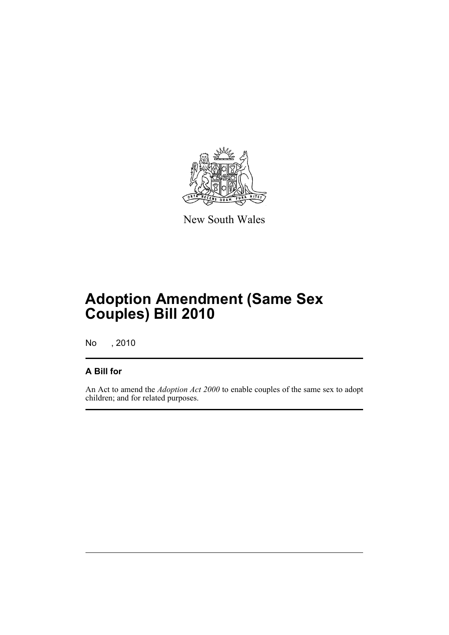

New South Wales

## **Adoption Amendment (Same Sex Couples) Bill 2010**

No , 2010

#### **A Bill for**

An Act to amend the *Adoption Act 2000* to enable couples of the same sex to adopt children; and for related purposes.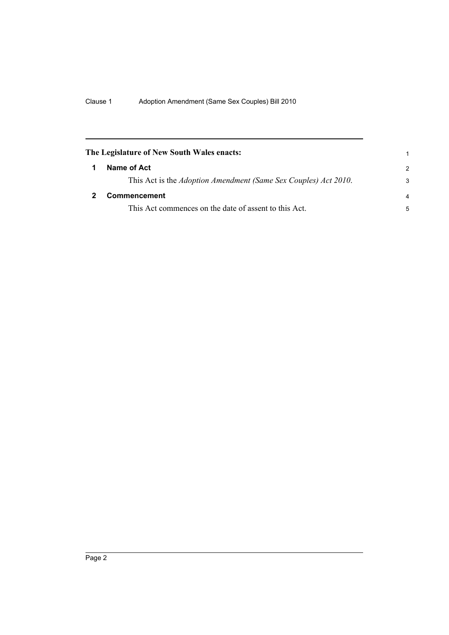<span id="page-5-1"></span><span id="page-5-0"></span>

| The Legislature of New South Wales enacts:                      | 1              |
|-----------------------------------------------------------------|----------------|
| Name of Act                                                     | $\mathcal{P}$  |
| This Act is the Adoption Amendment (Same Sex Couples) Act 2010. | 3              |
| Commencement                                                    | $\overline{a}$ |
| This Act commences on the date of assent to this Act.           | 5              |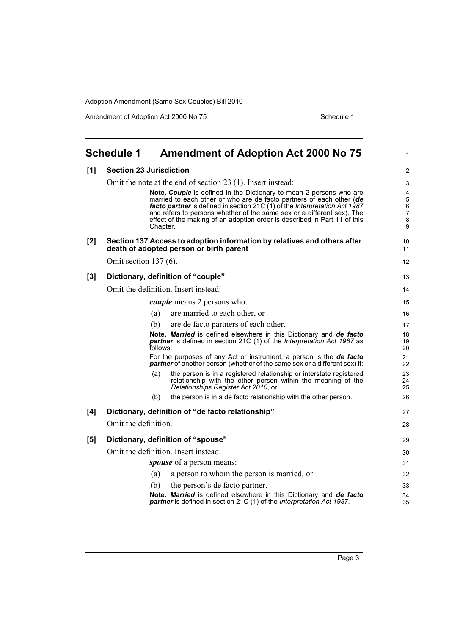Amendment of Adoption Act 2000 No 75 Schedule 1

<span id="page-6-0"></span>

|       | <b>Schedule 1</b>                                                                                                                                 |          | <b>Amendment of Adoption Act 2000 No 75</b>                                                                                                                                                                                                                                                                                                                                                                                                     | 1                                                             |
|-------|---------------------------------------------------------------------------------------------------------------------------------------------------|----------|-------------------------------------------------------------------------------------------------------------------------------------------------------------------------------------------------------------------------------------------------------------------------------------------------------------------------------------------------------------------------------------------------------------------------------------------------|---------------------------------------------------------------|
| [1]   | <b>Section 23 Jurisdiction</b>                                                                                                                    |          |                                                                                                                                                                                                                                                                                                                                                                                                                                                 |                                                               |
|       |                                                                                                                                                   | Chapter. | Omit the note at the end of section 23 (1). Insert instead:<br>Note. Couple is defined in the Dictionary to mean 2 persons who are<br>married to each other or who are de facto partners of each other (de<br>facto partner is defined in section 21C (1) of the Interpretation Act 1987<br>and refers to persons whether of the same sex or a different sex). The<br>effect of the making of an adoption order is described in Part 11 of this | 3<br>$\overline{4}$<br>5<br>$\,6$<br>$\overline{7}$<br>8<br>9 |
| $[2]$ |                                                                                                                                                   |          | Section 137 Access to adoption information by relatives and others after<br>death of adopted person or birth parent                                                                                                                                                                                                                                                                                                                             | 10<br>11                                                      |
|       | Omit section 137 (6).                                                                                                                             |          |                                                                                                                                                                                                                                                                                                                                                                                                                                                 | 12                                                            |
| $[3]$ | Dictionary, definition of "couple"                                                                                                                |          |                                                                                                                                                                                                                                                                                                                                                                                                                                                 | 13                                                            |
|       |                                                                                                                                                   |          | Omit the definition. Insert instead:                                                                                                                                                                                                                                                                                                                                                                                                            | 14                                                            |
|       |                                                                                                                                                   |          | <i>couple</i> means 2 persons who:                                                                                                                                                                                                                                                                                                                                                                                                              | 15                                                            |
|       |                                                                                                                                                   | (a)      | are married to each other, or                                                                                                                                                                                                                                                                                                                                                                                                                   | 16                                                            |
|       |                                                                                                                                                   | (b)      | are de facto partners of each other.                                                                                                                                                                                                                                                                                                                                                                                                            | 17                                                            |
|       |                                                                                                                                                   | follows: | Note. Married is defined elsewhere in this Dictionary and de facto<br><b>partner</b> is defined in section 21C (1) of the <i>Interpretation Act 1987</i> as                                                                                                                                                                                                                                                                                     | 18<br>19<br>20                                                |
|       | For the purposes of any Act or instrument, a person is the de facto<br>partner of another person (whether of the same sex or a different sex) if: |          |                                                                                                                                                                                                                                                                                                                                                                                                                                                 | 21<br>22                                                      |
|       |                                                                                                                                                   | (a)      | the person is in a registered relationship or interstate registered<br>relationship with the other person within the meaning of the<br>Relationships Register Act 2010, or                                                                                                                                                                                                                                                                      | 23<br>24<br>25                                                |
|       |                                                                                                                                                   | (b)      | the person is in a de facto relationship with the other person.                                                                                                                                                                                                                                                                                                                                                                                 | 26                                                            |
| [4]   |                                                                                                                                                   |          | Dictionary, definition of "de facto relationship"                                                                                                                                                                                                                                                                                                                                                                                               | 27                                                            |
|       | Omit the definition.                                                                                                                              |          |                                                                                                                                                                                                                                                                                                                                                                                                                                                 | 28                                                            |
| [5]   |                                                                                                                                                   |          | Dictionary, definition of "spouse"                                                                                                                                                                                                                                                                                                                                                                                                              | 29                                                            |
|       | Omit the definition. Insert instead:<br>spouse of a person means:                                                                                 |          | 30                                                                                                                                                                                                                                                                                                                                                                                                                                              |                                                               |
|       |                                                                                                                                                   |          | 31                                                                                                                                                                                                                                                                                                                                                                                                                                              |                                                               |
|       |                                                                                                                                                   | (a)      | a person to whom the person is married, or                                                                                                                                                                                                                                                                                                                                                                                                      | 32                                                            |
|       |                                                                                                                                                   | (b)      | the person's de facto partner.                                                                                                                                                                                                                                                                                                                                                                                                                  | 33                                                            |
|       |                                                                                                                                                   |          | Note. Married is defined elsewhere in this Dictionary and de facto<br>partner is defined in section 21C (1) of the Interpretation Act 1987.                                                                                                                                                                                                                                                                                                     | 34<br>35                                                      |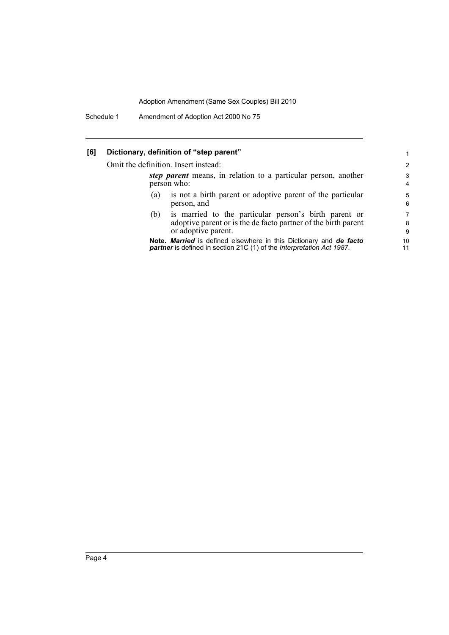Schedule 1 Amendment of Adoption Act 2000 No 75

#### **[6] Dictionary, definition of "step parent"**

Omit the definition. Insert instead:

| it the definition. Insert instead:                                            |                                                                                                                                                | 2                   |
|-------------------------------------------------------------------------------|------------------------------------------------------------------------------------------------------------------------------------------------|---------------------|
| step parent means, in relation to a particular person, another<br>person who: |                                                                                                                                                | 3<br>$\overline{4}$ |
| (a)                                                                           | is not a birth parent or adoptive parent of the particular<br>person, and                                                                      | 5<br>6              |
| (b)                                                                           | is married to the particular person's birth parent or<br>adoptive parent or is the de facto partner of the birth parent<br>or adoptive parent. | 7<br>8<br>9         |
|                                                                               | Note. Married is defined elsewhere in this Dictionary and de facto                                                                             | 10                  |

1

11

**Note.** *Married* is defined elsewhere in this Dictionary and *de facto partner* is defined in section 21C (1) of the *Interpretation Act 1987*.